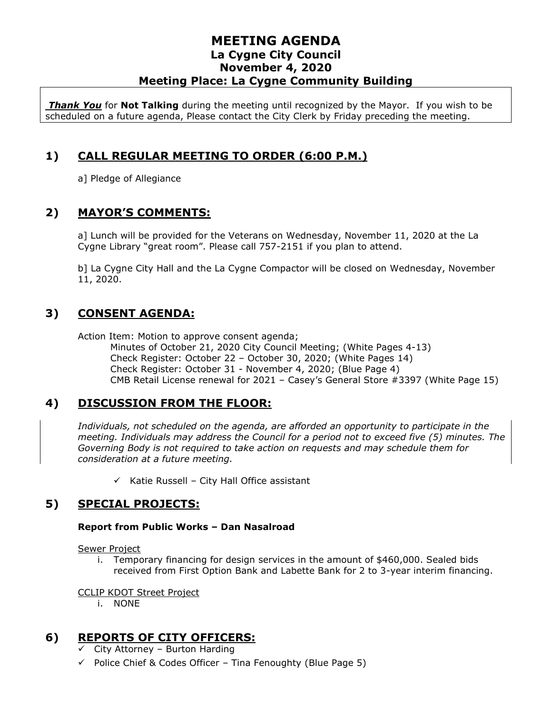#### **MEETING AGENDA La Cygne City Council November 4, 2020 Meeting Place: La Cygne Community Building**

*Thank You* for **Not Talking** during the meeting until recognized by the Mayor. If you wish to be scheduled on a future agenda, Please contact the City Clerk by Friday preceding the meeting.

### **1) CALL REGULAR MEETING TO ORDER (6:00 P.M.)**

a] Pledge of Allegiance

#### **2) MAYOR'S COMMENTS:**

 a] Lunch will be provided for the Veterans on Wednesday, November 11, 2020 at the La Cygne Library "great room". Please call 757-2151 if you plan to attend.

b] La Cygne City Hall and the La Cygne Compactor will be closed on Wednesday, November 11, 2020.

## **3) CONSENT AGENDA:**

Action Item: Motion to approve consent agenda;

Minutes of October 21, 2020 City Council Meeting; (White Pages 4-13) Check Register: October 22 – October 30, 2020; (White Pages 14) Check Register: October 31 - November 4, 2020; (Blue Page 4) CMB Retail License renewal for 2021 – Casey's General Store #3397 (White Page 15)

### **4) DISCUSSION FROM THE FLOOR:**

*Individuals, not scheduled on the agenda, are afforded an opportunity to participate in the meeting. Individuals may address the Council for a period not to exceed five (5) minutes. The Governing Body is not required to take action on requests and may schedule them for consideration at a future meeting.* 

 $\checkmark$  Katie Russell – City Hall Office assistant

### **5) SPECIAL PROJECTS:**

#### **Report from Public Works – Dan Nasalroad**

Sewer Project

i. Temporary financing for design services in the amount of \$460,000. Sealed bids received from First Option Bank and Labette Bank for 2 to 3-year interim financing.

CCLIP KDOT Street Project

i. NONE

#### **6) REPORTS OF CITY OFFICERS:**

 $\checkmark$  City Attorney – Burton Harding

 $\checkmark$  Police Chief & Codes Officer – Tina Fenoughty (Blue Page 5)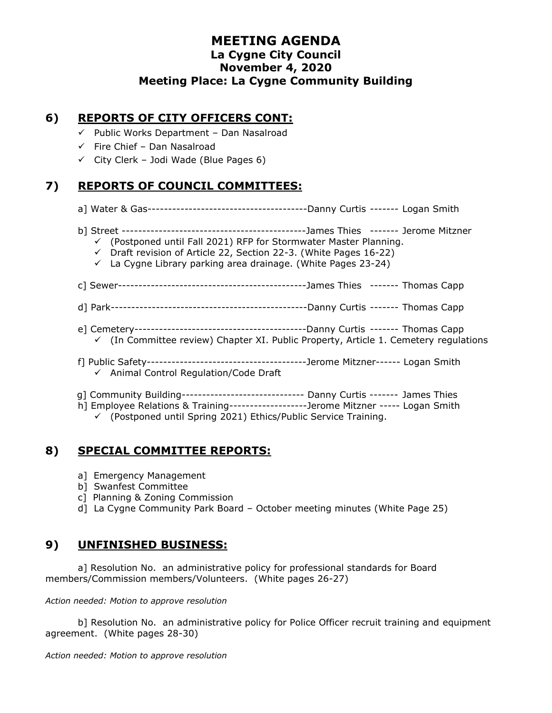#### **MEETING AGENDA La Cygne City Council November 4, 2020 Meeting Place: La Cygne Community Building**

### **6) REPORTS OF CITY OFFICERS CONT:**

- $\checkmark$  Public Works Department Dan Nasalroad
- $\checkmark$  Fire Chief Dan Nasalroad
- $\checkmark$  City Clerk Jodi Wade (Blue Pages 6)

### **7) REPORTS OF COUNCIL COMMITTEES:**

- a] Water & Gas---------------------------------------Danny Curtis ------- Logan Smith
- b] Street ---------------------------------------------James Thies ------- Jerome Mitzner
	- $\checkmark$  (Postponed until Fall 2021) RFP for Stormwater Master Planning.
	- ✓ Draft revision of Article 22, Section 22-3. (White Pages 16-22)
	- $\checkmark$  La Cygne Library parking area drainage. (White Pages 23-24)
- c] Sewer----------------------------------------------James Thies ------- Thomas Capp
- d] Park------------------------------------------------Danny Curtis ------- Thomas Capp
- e] Cemetery------------------------------------------Danny Curtis ------- Thomas Capp
	- $\checkmark$  (In Committee review) Chapter XI. Public Property, Article 1. Cemetery regulations
- f] Public Safety---------------------------------------Jerome Mitzner------ Logan Smith
	- ✓ Animal Control Regulation/Code Draft
- g] Community Building------------------------------ Danny Curtis ------- James Thies
- h] Employee Relations & Training-------------------Jerome Mitzner ----- Logan Smith

✓ (Postponed until Spring 2021) Ethics/Public Service Training.

#### **8) SPECIAL COMMITTEE REPORTS:**

- a] Emergency Management
- b] Swanfest Committee
- c] Planning & Zoning Commission
- d] La Cygne Community Park Board October meeting minutes (White Page 25)

#### **9) UNFINISHED BUSINESS:**

a] Resolution No. an administrative policy for professional standards for Board members/Commission members/Volunteers. (White pages 26-27)

*Action needed: Motion to approve resolution*

b] Resolution No. an administrative policy for Police Officer recruit training and equipment agreement. (White pages 28-30)

*Action needed: Motion to approve resolution*